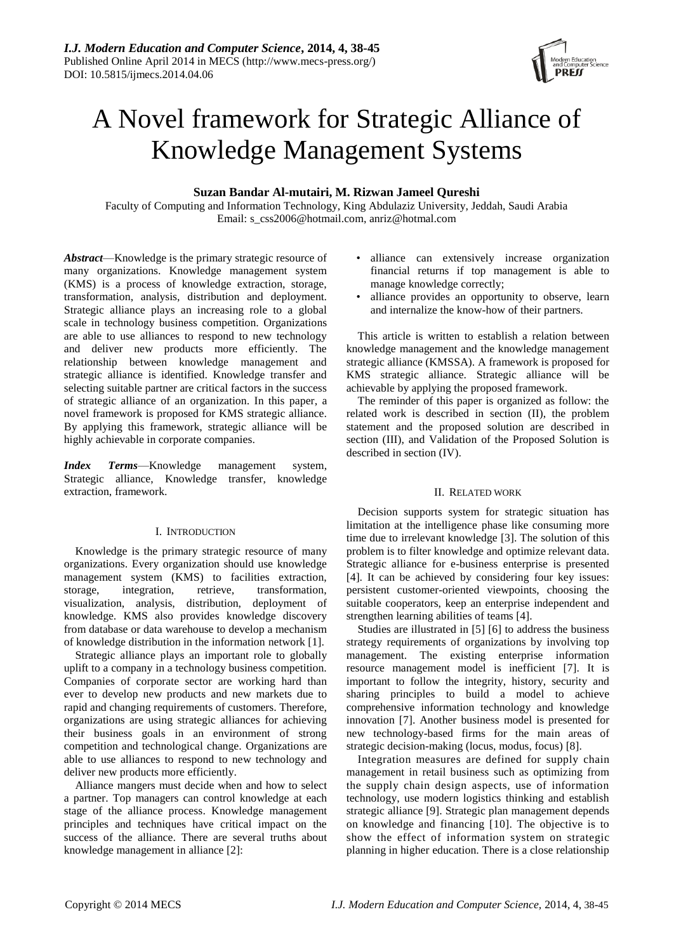

# A Novel framework for Strategic Alliance of Knowledge Management Systems

## **Suzan Bandar Al-mutairi, M. Rizwan Jameel Qureshi**

Faculty of Computing and Information Technology, King Abdulaziz University, Jeddah, Saudi Arabia Email: s\_css2006@hotmail.com, anriz@hotmal.com

*Abstract*—Knowledge is the primary strategic resource of many organizations. Knowledge management system (KMS) is a process of knowledge extraction, storage, transformation, analysis, distribution and deployment. Strategic alliance plays an increasing role to a global scale in technology business competition. Organizations are able to use alliances to respond to new technology and deliver new products more efficiently. The relationship between knowledge management and strategic alliance is identified. Knowledge transfer and selecting suitable partner are critical factors in the success of strategic alliance of an organization. In this paper, a novel framework is proposed for KMS strategic alliance. By applying this framework, strategic alliance will be highly achievable in corporate companies.

*Index Terms*—Knowledge management system, Strategic alliance, Knowledge transfer, knowledge extraction, framework.

## I. INTRODUCTION

Knowledge is the primary strategic resource of many organizations. Every organization should use knowledge management system (KMS) to facilities extraction, storage, integration, retrieve, transformation, visualization, analysis, distribution, deployment of knowledge. KMS also provides knowledge discovery from database or data warehouse to develop a mechanism of knowledge distribution in the information network [1].

Strategic alliance plays an important role to globally uplift to a company in a technology business competition. Companies of corporate sector are working hard than ever to develop new products and new markets due to rapid and changing requirements of customers. Therefore, organizations are using strategic alliances for achieving their business goals in an environment of strong competition and technological change. Organizations are able to use alliances to respond to new technology and deliver new products more efficiently.

Alliance mangers must decide when and how to select a partner. Top managers can control knowledge at each stage of the alliance process. Knowledge management principles and techniques have critical impact on the success of the alliance. There are several truths about knowledge management in alliance [2]:

- alliance can extensively increase organization financial returns if top management is able to manage knowledge correctly;
- alliance provides an opportunity to observe, learn and internalize the know-how of their partners.

This article is written to establish a relation between knowledge management and the knowledge management strategic alliance (KMSSA). A framework is proposed for KMS strategic alliance. Strategic alliance will be achievable by applying the proposed framework.

The reminder of this paper is organized as follow: the related work is described in section (II), the problem statement and the proposed solution are described in section (III), and Validation of the Proposed Solution is described in section (IV).

## II. RELATED WORK

Decision supports system for strategic situation has limitation at the intelligence phase like consuming more time due to irrelevant knowledge [3]. The solution of this problem is to filter knowledge and optimize relevant data. Strategic alliance for e-business enterprise is presented [4]. It can be achieved by considering four key issues: persistent customer-oriented viewpoints, choosing the suitable cooperators, keep an enterprise independent and strengthen learning abilities of teams [4].

Studies are illustrated in [5] [6] to address the business strategy requirements of organizations by involving top management. The existing enterprise information resource management model is inefficient [7]. It is important to follow the integrity, history, security and sharing principles to build a model to achieve comprehensive information technology and knowledge innovation [7]. Another business model is presented for new technology-based firms for the main areas of strategic decision-making (locus, modus, focus) [8].

Integration measures are defined for supply chain management in retail business such as optimizing from the supply chain design aspects, use of information technology, use modern logistics thinking and establish strategic alliance [9]. Strategic plan management depends on knowledge and financing [10]. The objective is to show the effect of information system on strategic planning in higher education. There is a close relationship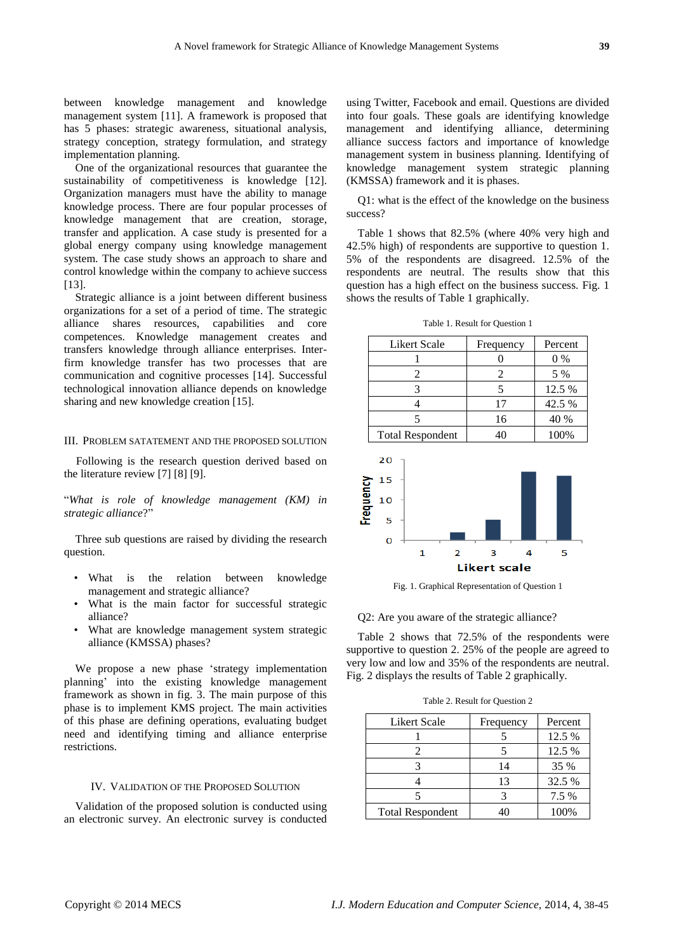between knowledge management and knowledge management system [11]. A framework is proposed that has 5 phases: strategic awareness, situational analysis, strategy conception, strategy formulation, and strategy implementation planning.

One of the organizational resources that guarantee the sustainability of competitiveness is knowledge [12]. Organization managers must have the ability to manage knowledge process. There are four popular processes of knowledge management that are creation, storage, transfer and application. A case study is presented for a global energy company using knowledge management system. The case study shows an approach to share and control knowledge within the company to achieve success [13].

Strategic alliance is a joint between different business organizations for a set of a period of time. The strategic alliance shares resources, capabilities and core competences. Knowledge management creates and transfers knowledge through alliance enterprises. Interfirm knowledge transfer has two processes that are communication and cognitive processes [14]. Successful technological innovation alliance depends on knowledge sharing and new knowledge creation [15].

#### III. PROBLEM SATATEMENT AND THE PROPOSED SOLUTION

Following is the research question derived based on the literature review [7] [8] [9].

―*What is role of knowledge management (KM) in strategic alliance*?‖

Three sub questions are raised by dividing the research question.

- What is the relation between knowledge management and strategic alliance?
- What is the main factor for successful strategic alliance?
- What are knowledge management system strategic alliance (KMSSA) phases?

We propose a new phase 'strategy implementation planning' into the existing knowledge management framework as shown in fig. 3. The main purpose of this phase is to implement KMS project. The main activities of this phase are defining operations, evaluating budget need and identifying timing and alliance enterprise restrictions.

#### IV. VALIDATION OF THE PROPOSED SOLUTION

Validation of the proposed solution is conducted using an electronic survey. An electronic survey is conducted using Twitter, Facebook and email. Questions are divided into four goals. These goals are identifying knowledge management and identifying alliance, determining alliance success factors and importance of knowledge management system in business planning. Identifying of knowledge management system strategic planning (KMSSA) framework and it is phases.

Q1: what is the effect of the knowledge on the business success?

Table 1 shows that 82.5% (where 40% very high and 42.5% high) of respondents are supportive to question 1. 5% of the respondents are disagreed. 12.5% of the respondents are neutral. The results show that this question has a high effect on the business success. Fig. 1 shows the results of Table 1 graphically.

| Likert Scale            | Frequency | Percent |
|-------------------------|-----------|---------|
|                         |           | $0\%$   |
|                         | 2         | 5 %     |
|                         |           | 12.5 %  |
|                         | 17        | 42.5 %  |
|                         | 16        | 40 %    |
| <b>Total Respondent</b> |           | 100%    |

Table 1. Result for Question 1



Fig. 1. Graphical Representation of Question 1

Q2: Are you aware of the strategic alliance?

Table 2 shows that 72.5% of the respondents were supportive to question 2. 25% of the people are agreed to very low and low and 35% of the respondents are neutral. Fig. 2 displays the results of Table 2 graphically.

|  | Table 2. Result for Question 2 |  |  |
|--|--------------------------------|--|--|
|--|--------------------------------|--|--|

| Likert Scale            | Frequency | Percent |
|-------------------------|-----------|---------|
|                         |           | 12.5 %  |
| 2                       |           | 12.5 %  |
|                         | 14        | 35 %    |
|                         | 13        | 32.5 %  |
|                         |           | 7.5 %   |
| <b>Total Respondent</b> |           | 100%    |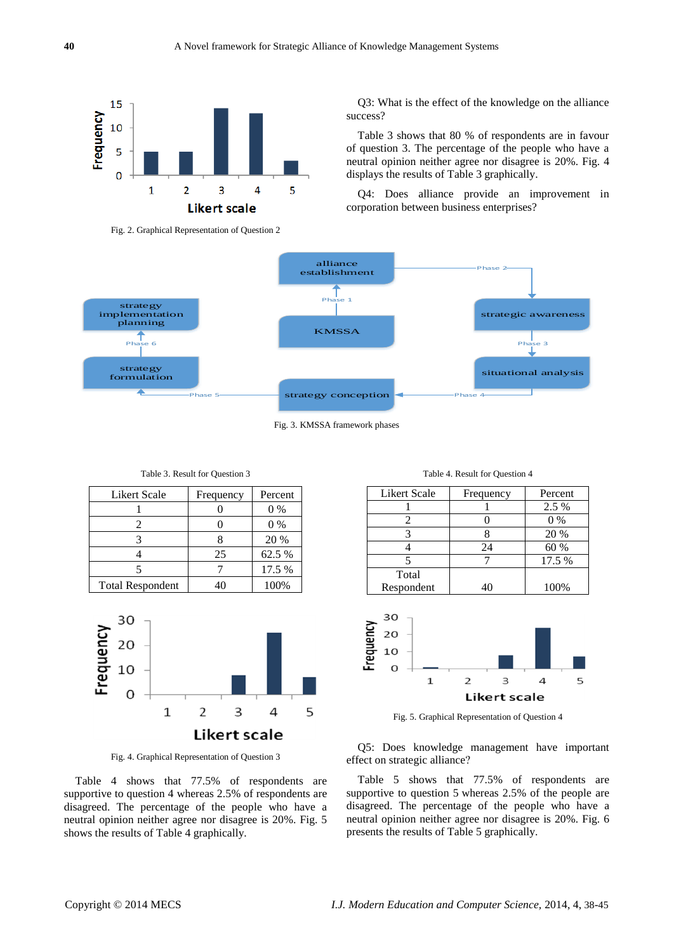

Fig. 2. Graphical Representation of Question 2

Q3: What is the effect of the knowledge on the alliance success?

Table 3 shows that 80 % of respondents are in favour of question 3. The percentage of the people who have a neutral opinion neither agree nor disagree is 20%. Fig. 4 displays the results of Table 3 graphically.

Q4: Does alliance provide an improvement in corporation between business enterprises?



Fig. 3. KMSSA framework phases

| Likert Scale            | Frequency | Percent |
|-------------------------|-----------|---------|
|                         |           | $0\%$   |
|                         |           | $0\%$   |
|                         |           | 20 %    |
|                         | 25        | 62.5 %  |
|                         |           | 17.5 %  |
| <b>Total Respondent</b> |           | 100%    |

Table 3. Result for Question 3



Fig. 4. Graphical Representation of Question 3

Table 4 shows that 77.5% of respondents are supportive to question 4 whereas 2.5% of respondents are disagreed. The percentage of the people who have a neutral opinion neither agree nor disagree is 20%. Fig. 5 shows the results of Table 4 graphically.

|  |  | Table 4. Result for Question 4 |
|--|--|--------------------------------|
|--|--|--------------------------------|

| Likert Scale | Frequency | Percent |
|--------------|-----------|---------|
|              |           | 2.5 %   |
|              |           | $0\%$   |
|              |           | 20 %    |
|              | 24        | 60 %    |
|              |           | 17.5 %  |
| Total        |           |         |
| Respondent   |           | 100%    |



Fig. 5. Graphical Representation of Question 4

Q5: Does knowledge management have important effect on strategic alliance?

Table 5 shows that 77.5% of respondents are supportive to question 5 whereas 2.5% of the people are disagreed. The percentage of the people who have a neutral opinion neither agree nor disagree is 20%. Fig. 6 presents the results of Table 5 graphically.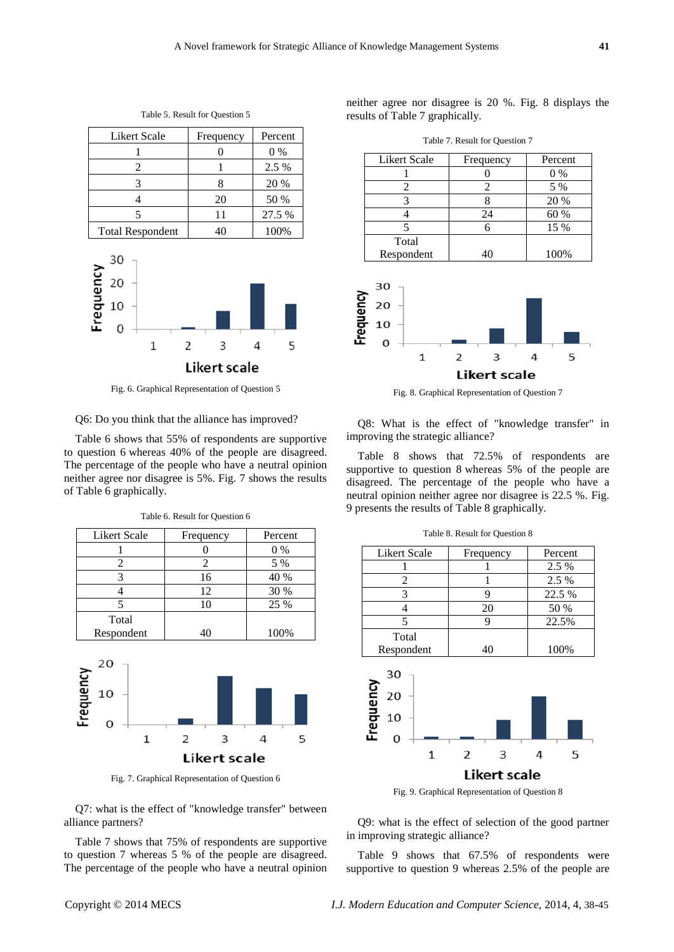| <b>Likert Scale</b>     | Frequency | Percent |
|-------------------------|-----------|---------|
|                         |           | $0\%$   |
|                         |           | 2.5 %   |
|                         |           | 20 %    |
|                         | 20        | 50 %    |
|                         | 11        | 27.5 %  |
| <b>Total Respondent</b> | 40        | 100%    |

Table 5. Result for Question 5



Fig. 6. Graphical Representation of Question 5

#### Q6: Do you think that the alliance has improved?

Table 6 shows that 55% of respondents are supportive to question 6 whereas 40% of the people are disagreed. The percentage of the people who have a neutral opinion neither agree nor disagree is 5%. Fig. 7 shows the results of Table 6 graphically.

Table 6. Result for Question 6

| Likert Scale | Frequency | Percent |
|--------------|-----------|---------|
|              |           | $0\%$   |
|              |           | 5 %     |
|              | 16        | 40 %    |
|              | 12        | 30 %    |
|              | 10        | 25 %    |
| Total        |           |         |
| Respondent   | 40        | 100%    |



Fig. 7. Graphical Representation of Question 6

Q7: what is the effect of "knowledge transfer" between alliance partners?

Table 7 shows that 75% of respondents are supportive to question 7 whereas 5 % of the people are disagreed. The percentage of the people who have a neutral opinion neither agree nor disagree is 20 %. Fig. 8 displays the results of Table 7 graphically.

|  |  | Table 7. Result for Question 7 |
|--|--|--------------------------------|
|--|--|--------------------------------|

| Likert Scale | Frequency | Percent |
|--------------|-----------|---------|
|              |           | $0\%$   |
|              |           | 5 %     |
|              |           | 20 %    |
|              | 24        | 60 %    |
|              |           | 15 %    |
| Total        |           |         |
| Respondent   |           | 100%    |



Fig. 8. Graphical Representation of Question 7

Q8: What is the effect of "knowledge transfer" in improving the strategic alliance?

Table 8 shows that 72.5% of respondents are supportive to question 8 whereas 5% of the people are disagreed. The percentage of the people who have a neutral opinion neither agree nor disagree is 22.5 %. Fig. 9 presents the results of Table 8 graphically.

| Likert Scale | Frequency | Percent |
|--------------|-----------|---------|
|              |           | 2.5 %   |
| 2            |           | 2.5 %   |
| 3            | 9         | 22.5 %  |
|              | 20        | 50 %    |
|              | 9         | 22.5%   |
| Total        |           |         |
| Respondent   | 40        | 100%    |
|              |           |         |
|              |           |         |





Q9: what is the effect of selection of the good partner in improving strategic alliance?

Table 9 shows that 67.5% of respondents were supportive to question 9 whereas 2.5% of the people are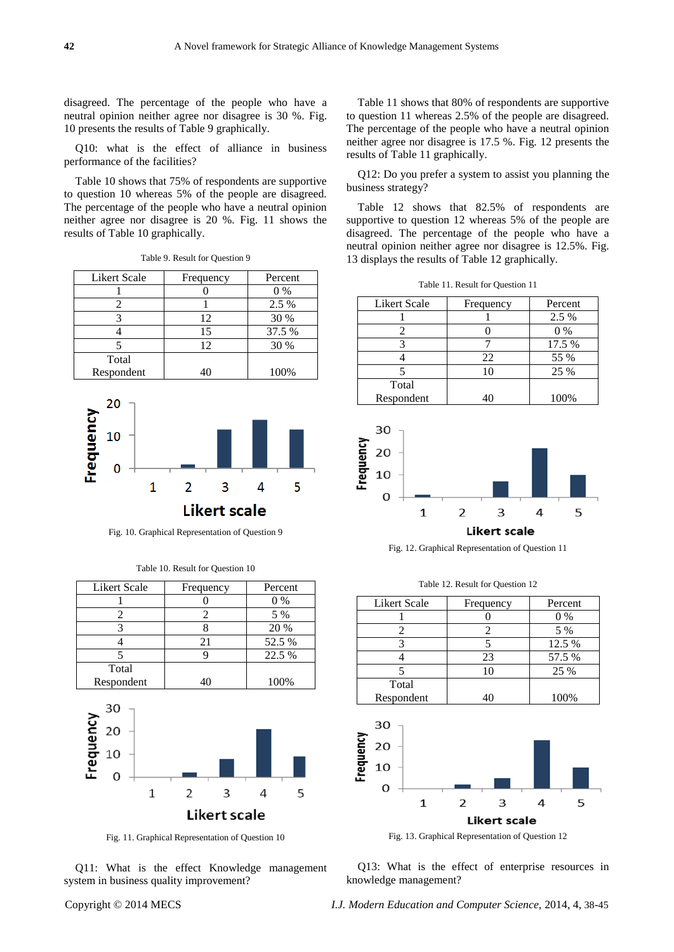disagreed. The percentage of the people who have a neutral opinion neither agree nor disagree is 30 %. Fig. 10 presents the results of Table 9 graphically.

Q10: what is the effect of alliance in business performance of the facilities?

Table 10 shows that 75% of respondents are supportive to question 10 whereas 5% of the people are disagreed. The percentage of the people who have a neutral opinion neither agree nor disagree is 20 %. Fig. 11 shows the results of Table 10 graphically.

| Likert Scale | Frequency | Percent |
|--------------|-----------|---------|
|              |           | $0\%$   |
|              |           | 2.5 %   |
|              | 12        | 30 %    |
|              | 15        | 37.5 %  |
|              | 12        | 30 %    |
| Total        |           |         |
| Respondent   | 40        | 100%    |

Table 9. Result for Question 9



Fig. 10. Graphical Representation of Question 9

| <b>Likert Scale</b> | Frequency | Percent |
|---------------------|-----------|---------|
|                     |           | 0 %     |
|                     |           | 5 %     |
|                     |           | 20 %    |
|                     | 21        | 52.5 %  |
|                     |           | 22.5 %  |
| Total               |           |         |
| Respondent          |           | 100%    |





Fig. 11. Graphical Representation of Question 10

Q11: What is the effect Knowledge management system in business quality improvement?

Table 11 shows that 80% of respondents are supportive to question 11 whereas 2.5% of the people are disagreed. The percentage of the people who have a neutral opinion neither agree nor disagree is 17.5 %. Fig. 12 presents the results of Table 11 graphically.

Q12: Do you prefer a system to assist you planning the business strategy?

Table 12 shows that 82.5% of respondents are supportive to question 12 whereas 5% of the people are disagreed. The percentage of the people who have a neutral opinion neither agree nor disagree is 12.5%. Fig. 13 displays the results of Table 12 graphically.

Table 11. Result for Question 11

| <b>Likert Scale</b> | Frequency | Percent |
|---------------------|-----------|---------|
|                     |           | 2.5 %   |
|                     |           | $0\%$   |
|                     |           | 17.5 %  |
|                     | 22        | 55 %    |
|                     | 10        | 25 %    |
| Total               |           |         |
| Respondent          |           | 100%    |



**Likert scale** 

Fig. 12. Graphical Representation of Question 11

Table 12. Result for Question 12

Likert Scale Frequency Percent 1 0 0 0 % 2 2 5 % 3 5 12.5 % 4 23 57.5 % 5 10 25 % Total Respondent 40 100%



Q13: What is the effect of enterprise resources in knowledge management?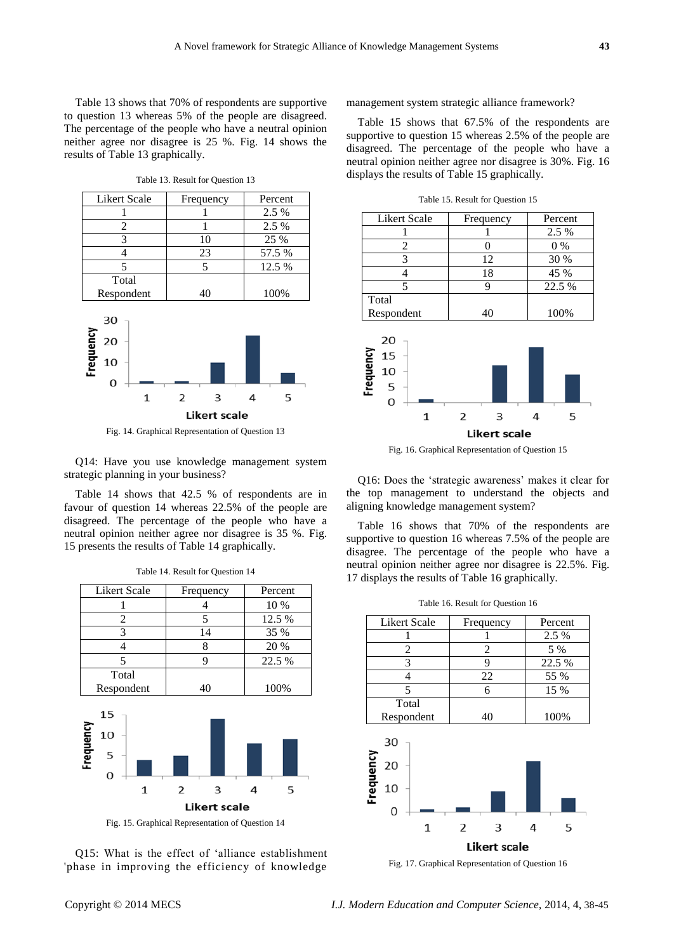Table 13 shows that 70% of respondents are supportive to question 13 whereas 5% of the people are disagreed. The percentage of the people who have a neutral opinion neither agree nor disagree is 25 %. Fig. 14 shows the results of Table 13 graphically.

|    | Percent |
|----|---------|
|    | 2.5 %   |
|    | 2.5 %   |
| 10 | 25 %    |
| 23 | 57.5 %  |
| 5  | 12.5 %  |
|    |         |
| 40 | 100%    |
|    |         |
|    |         |

Table 13. Result for Question 13



Fig. 14. Graphical Representation of Question 13

Q14: Have you use knowledge management system strategic planning in your business?

Table 14 shows that 42.5 % of respondents are in favour of question 14 whereas 22.5% of the people are disagreed. The percentage of the people who have a neutral opinion neither agree nor disagree is 35 %. Fig. 15 presents the results of Table 14 graphically.

|           | 1                       |    | 4                        |   | 10 %   |  |
|-----------|-------------------------|----|--------------------------|---|--------|--|
|           | $\overline{2}$          | 5  |                          |   | 12.5 % |  |
|           | 3                       | 14 |                          |   | 35 %   |  |
|           | 4                       | 8  |                          |   | 20 %   |  |
|           | 5                       | 9  |                          |   | 22.5 % |  |
|           | Total                   |    |                          |   |        |  |
|           | Respondent              |    | 40                       |   | 100%   |  |
| Frequency | 15<br>10<br>5<br>O<br>1 | 2  | 3<br><b>Likert scale</b> | 4 | 5      |  |
|           |                         |    |                          |   |        |  |

Table 14. Result for Question 14 Likert Scale Frequency Percent

Fig. 15. Graphical Representation of Question 14

Q15: What is the effect of 'alliance establishment 'phase in improving the efficiency of knowledge management system strategic alliance framework?

Table 15 shows that 67.5% of the respondents are supportive to question 15 whereas 2.5% of the people are disagreed. The percentage of the people who have a neutral opinion neither agree nor disagree is 30%. Fig. 16 displays the results of Table 15 graphically.

| <b>Likert Scale</b>             | Frequency | Percent |  |
|---------------------------------|-----------|---------|--|
|                                 |           | 2.5 %   |  |
| 2                               | 0         | $0\%$   |  |
| 3                               | 12        | 30 %    |  |
| 4                               | 18        | 45 %    |  |
| 5                               | 9         | 22.5 %  |  |
| Total                           |           |         |  |
| Respondent                      | 40        | 100%    |  |
| 20<br>requency<br>15<br>10<br>5 |           |         |  |

Table 15. Result for Question 15



3 **Likert scale** 

 $\overline{2}$ 

 $\mathbf{1}$ 

5

Q16: Does the 'strategic awareness' makes it clear for the top management to understand the objects and aligning knowledge management system?

Table 16 shows that 70% of the respondents are supportive to question 16 whereas 7.5% of the people are disagree. The percentage of the people who have a neutral opinion neither agree nor disagree is 22.5%. Fig. 17 displays the results of Table 16 graphically.

|  |  |  | Table 16. Result for Question 16 |  |
|--|--|--|----------------------------------|--|
|--|--|--|----------------------------------|--|

| Likert Scale | Frequency | Percent |
|--------------|-----------|---------|
|              |           | 2.5 %   |
|              |           | 5 %     |
|              |           | 22.5 %  |
|              | 22        | 55 %    |
|              |           | 15 %    |
| Total        |           |         |
| Respondent   | 40        | 100%    |



Fig. 17. Graphical Representation of Question 16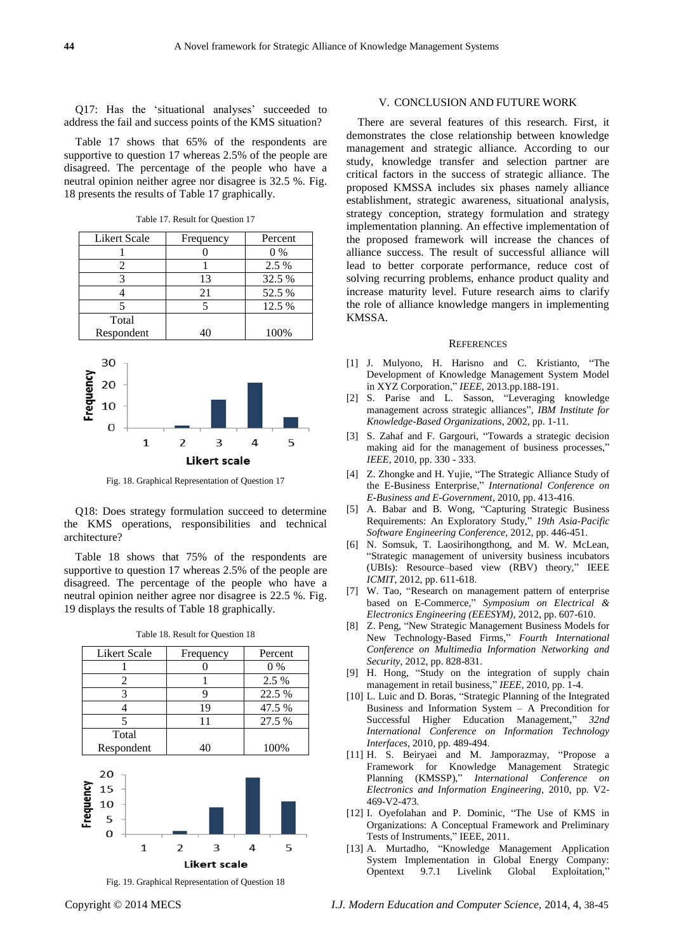Q17: Has the 'situational analyses' succeeded to address the fail and success points of the KMS situation?

Table 17 shows that 65% of the respondents are supportive to question 17 whereas 2.5% of the people are disagreed. The percentage of the people who have a neutral opinion neither agree nor disagree is 32.5 %. Fig. 18 presents the results of Table 17 graphically.

| Likert Scale | Frequency | Percent |
|--------------|-----------|---------|
|              |           | $0\%$   |
|              |           | 2.5 %   |
|              | 13        | 32.5 %  |
|              | 21        | 52.5 %  |
|              |           | 12.5 %  |
| Total        |           |         |
| Respondent   | 40        | 100%    |

Table 17. Result for Question 17



Fig. 18. Graphical Representation of Question 17

Q18: Does strategy formulation succeed to determine the KMS operations, responsibilities and technical architecture?

Table 18 shows that 75% of the respondents are supportive to question 17 whereas 2.5% of the people are disagreed. The percentage of the people who have a neutral opinion neither agree nor disagree is 22.5 %. Fig. 19 displays the results of Table 18 graphically.

| Likert Scale | Frequency | Percent |
|--------------|-----------|---------|
|              |           | $0\%$   |
|              |           | 2.5 %   |
|              |           | 22.5 %  |
|              | 19        | 47.5 %  |
|              |           | 27.5 %  |
| Total        |           |         |
| Respondent   | 40        | 100%    |





Fig. 19. Graphical Representation of Question 18

# V. CONCLUSION AND FUTURE WORK

There are several features of this research. First, it demonstrates the close relationship between knowledge management and strategic alliance. According to our study, knowledge transfer and selection partner are critical factors in the success of strategic alliance. The proposed KMSSA includes six phases namely alliance establishment, strategic awareness, situational analysis, strategy conception, strategy formulation and strategy implementation planning. An effective implementation of the proposed framework will increase the chances of alliance success. The result of successful alliance will lead to better corporate performance, reduce cost of solving recurring problems, enhance product quality and increase maturity level. Future research aims to clarify the role of alliance knowledge mangers in implementing KMSSA.

#### **REFERENCES**

- [1] J. Mulyono, H. Harisno and C. Kristianto, "The Development of Knowledge Management System Model in XYZ Corporation," *IEEE*, 2013.pp.188-191.
- [2] S. Parise and L. Sasson, "Leveraging knowledge management across strategic alliances", *IBM Institute for Knowledge-Based Organizations*, 2002, pp. 1-11.
- [3] S. Zahaf and F. Gargouri, "Towards a strategic decision making aid for the management of business processes," *IEEE*, 2010, pp. 330 - 333.
- [4] Z. Zhongke and H. Yujie, "The Strategic Alliance Study of the E-Business Enterprise," *International Conference on E-Business and E-Government*, 2010, pp. 413-416.
- [5] A. Babar and B. Wong, "Capturing Strategic Business Requirements: An Exploratory Study," 19th Asia-Pacific *Software Engineering Conference*, 2012, pp. 446-451.
- [6] N. Somsuk, T. Laosirihongthong, and M. W. McLean, ―Strategic management of university business incubators (UBIs): Resource–based view (RBV) theory," IEEE *ICMIT*, 2012, pp. 611-618.
- [7] W. Tao, "Research on management pattern of enterprise based on E-Commerce," Symposium on Electrical & *Electronics Engineering (EEESYM),* 2012, pp. 607-610.
- [8] Z. Peng, "New Strategic Management Business Models for New Technology-Based Firms," Fourth International *Conference on Multimedia Information Networking and Security*, 2012, pp. 828-831.
- [9] H. Hong, "Study on the integration of supply chain management in retail business," IEEE, 2010, pp. 1-4.
- [10] L. Luic and D. Boras, "Strategic Planning of the Integrated Business and Information System – A Precondition for Successful Higher Education Management," 32nd *International Conference on Information Technology Interfaces*, 2010, pp. 489-494.
- [11] H. S. Beiryaei and M. Jamporazmay, "Propose a Framework for Knowledge Management Strategic Planning (KMSSP)," *International Conference on Electronics and Information Engineering,* 2010, pp. V2- 469-V2-473.
- [12] I. Oyefolahan and P. Dominic, "The Use of KMS in Organizations: A Conceptual Framework and Preliminary Tests of Instruments," IEEE, 2011.
- [13] A. Murtadho, "Knowledge Management Application System Implementation in Global Energy Company: Opentext 9.7.1 Livelink Global Exploitation,"